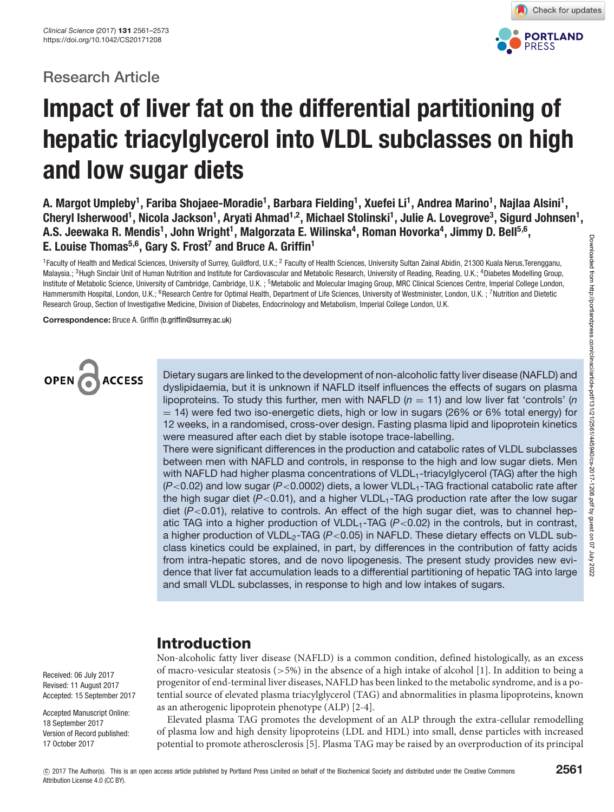# **Research Article**



# **Impact of liver fat on the differential partitioning of hepatic triacylglycerol into VLDL subclasses on high and low sugar diets**

**A. Margot Umpleby1 , Fariba Shojaee-Moradie1 , Barbara Fielding1 , Xuefei Li1 , Andrea Marino1 , Najlaa Alsini1 ,** Cheryl Isherwood<sup>1</sup>, Nicola Jackson<sup>1</sup>, Aryati Ahmad<sup>1,2</sup>, Michael Stolinski<sup>1</sup>, Julie A. Lovegrove<sup>3</sup>, Sigurd Johnsen<sup>1</sup>, **A.S. Jeewaka R. Mendis1 , John Wright1 , Malgorzata E. Wilinska4 , Roman Hovorka4 , Jimmy D. Bell5,6, E. Louise Thomas5,6, Gary S. Frost7 and Bruce A. Griffin1**

<sup>1</sup> Faculty of Health and Medical Sciences, University of Surrey, Guildford, U.K.; <sup>2</sup> Faculty of Health Sciences, University Sultan Zainal Abidin, 21300 Kuala Nerus, Terengganu, Malaysia.; <sup>3</sup>Hugh Sinclair Unit of Human Nutrition and Institute for Cardiovascular and Metabolic Research, University of Reading, Reading, U.K.; <sup>4</sup>Diabetes Modelling Group, Institute of Metabolic Science, University of Cambridge, Cambridge, U.K.; <sup>5</sup>Metabolic and Molecular Imaging Group, MRC Clinical Sciences Centre, Imperial College London, Hammersmith Hospital, London, U.K.; <sup>6</sup>Research Centre for Optimal Health, Department of Life Sciences, University of Westminister, London, U.K.; <sup>7</sup>Nutrition and Dietetic Research Group, Section of Investigative Medicine, Division of Diabetes, Endocrinology and Metabolism, Imperial College London, U.K.

**Correspondence:** Bruce A. Griffin [\(b.griffin@surrey.ac.uk\)](mailto:b.griffin@surrey.ac.uk)



Dietary sugars are linked to the development of non-alcoholic fatty liver disease (NAFLD) and dyslipidaemia, but it is unknown if NAFLD itself influences the effects of sugars on plasma lipoproteins. To study this further, men with NAFLD  $(n = 11)$  and low liver fat 'controls' (n  $=$  14) were fed two iso-energetic diets, high or low in sugars (26% or 6% total energy) for 12 weeks, in a randomised, cross-over design. Fasting plasma lipid and lipoprotein kinetics were measured after each diet by stable isotope trace-labelling.

There were significant differences in the production and catabolic rates of VLDL subclasses between men with NAFLD and controls, in response to the high and low sugar diets. Men with NAFLD had higher plasma concentrations of VLDL<sub>1</sub>-triacylglycerol (TAG) after the high  $(P<0.02)$  and low sugar  $(P<0.0002)$  diets, a lower VLDL<sub>1</sub>-TAG fractional catabolic rate after the high sugar diet  $(P<0.01)$ , and a higher VLDL<sub>1</sub>-TAG production rate after the low sugar diet  $(P<0.01)$ , relative to controls. An effect of the high sugar diet, was to channel hepatic TAG into a higher production of VLDL<sub>1</sub>-TAG ( $P < 0.02$ ) in the controls, but in contrast, a higher production of VLDL<sub>2</sub>-TAG ( $P < 0.05$ ) in NAFLD. These dietary effects on VLDL subclass kinetics could be explained, in part, by differences in the contribution of fatty acids from intra-hepatic stores, and de novo lipogenesis. The present study provides new evidence that liver fat accumulation leads to a differential partitioning of hepatic TAG into large and small VLDL subclasses, in response to high and low intakes of sugars.

# **Introduction**

Non-alcoholic fatty liver disease (NAFLD) is a common condition, defined histologically, as an excess of macro-vesicular steatosis (>5%) in the absence of a high intake of alcohol [\[1\]](#page-10-0). In addition to being a progenitor of end-terminal liver diseases, NAFLD has been linked to the metabolic syndrome, and is a potential source of elevated plasma triacylglycerol (TAG) and abnormalities in plasma lipoproteins, known as an atherogenic lipoprotein phenotype (ALP) [\[2-4\]](#page-10-1).

Elevated plasma TAG promotes the development of an ALP through the extra-cellular remodelling of plasma low and high density lipoproteins (LDL and HDL) into small, dense particles with increased potential to promote atherosclerosis [\[5\]](#page-11-0). Plasma TAG may be raised by an overproduction of its principal

Received: 06 July 2017 Revised: 11 August 2017 Accepted: 15 September 2017

Accepted Manuscript Online: 18 September 2017 Version of Record published: 17 October 2017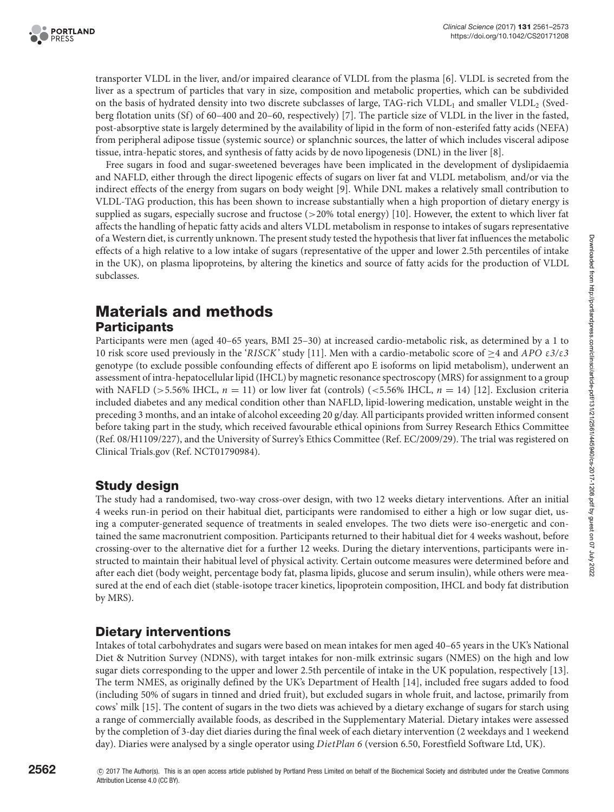

transporter VLDL in the liver, and/or impaired clearance of VLDL from the plasma [\[6\]](#page-11-1). VLDL is secreted from the liver as a spectrum of particles that vary in size, composition and metabolic properties, which can be subdivided on the basis of hydrated density into two discrete subclasses of large, TAG-rich VLDL<sub>1</sub> and smaller VLDL<sub>2</sub> (Svedberg flotation units (Sf) of 60–400 and 20–60, respectively) [\[7\]](#page-11-2). The particle size of VLDL in the liver in the fasted, post-absorptive state is largely determined by the availability of lipid in the form of non-esterifed fatty acids (NEFA) from peripheral adipose tissue (systemic source) or splanchnic sources, the latter of which includes visceral adipose tissue, intra-hepatic stores, and synthesis of fatty acids by de novo lipogenesis (DNL) in the liver [\[8\]](#page-11-3).

Free sugars in food and sugar-sweetened beverages have been implicated in the development of dyslipidaemia and NAFLD, either through the direct lipogenic effects of sugars on liver fat and VLDL metabolism, and/or via the indirect effects of the energy from sugars on body weight [\[9\]](#page-11-4). While DNL makes a relatively small contribution to VLDL-TAG production, this has been shown to increase substantially when a high proportion of dietary energy is supplied as sugars, especially sucrose and fructose (>20% total energy) [\[10\]](#page-11-5). However, the extent to which liver fat affects the handling of hepatic fatty acids and alters VLDL metabolism in response to intakes of sugars representative of a Western diet, is currently unknown. The present study tested the hypothesis that liver fat influences the metabolic effects of a high relative to a low intake of sugars (representative of the upper and lower 2.5th percentiles of intake in the UK), on plasma lipoproteins, by altering the kinetics and source of fatty acids for the production of VLDL subclasses.

# **Materials and methods Participants**

Participants were men (aged 40–65 years, BMI 25–30) at increased cardio-metabolic risk, as determined by a 1 to 10 risk score used previously in the '*RISCK'* study [\[11\]](#page-11-6). Men with a cardio-metabolic score of ≥4 and *APO* ε*3/*ε*3* genotype (to exclude possible confounding effects of different apo E isoforms on lipid metabolism), underwent an assessment of intra-hepatocellular lipid (IHCL) by magnetic resonance spectroscopy (MRS) for assignment to a group with NAFLD (>5.56% IHCL,  $n = 11$ ) or low liver fat (controls) (<5.56% IHCL,  $n = 14$ ) [\[12\]](#page-11-7). Exclusion criteria included diabetes and any medical condition other than NAFLD, lipid-lowering medication, unstable weight in the preceding 3 months, and an intake of alcohol exceeding 20 g/day. All participants provided written informed consent before taking part in the study, which received favourable ethical opinions from Surrey Research Ethics Committee (Ref. 08/H1109/227), and the University of Surrey's Ethics Committee (Ref. EC/2009/29). The trial was registered on Clinical Trials.gov (Ref. NCT01790984).

# **Study design**

The study had a randomised, two-way cross-over design, with two 12 weeks dietary interventions. After an initial 4 weeks run-in period on their habitual diet, participants were randomised to either a high or low sugar diet, using a computer-generated sequence of treatments in sealed envelopes. The two diets were iso-energetic and contained the same macronutrient composition. Participants returned to their habitual diet for 4 weeks washout, before crossing-over to the alternative diet for a further 12 weeks. During the dietary interventions, participants were instructed to maintain their habitual level of physical activity. Certain outcome measures were determined before and after each diet (body weight, percentage body fat, plasma lipids, glucose and serum insulin), while others were measured at the end of each diet (stable-isotope tracer kinetics, lipoprotein composition, IHCL and body fat distribution by MRS).

# **Dietary interventions**

Intakes of total carbohydrates and sugars were based on mean intakes for men aged 40–65 years in the UK's National Diet & Nutrition Survey (NDNS), with target intakes for non-milk extrinsic sugars (NMES) on the high and low sugar diets corresponding to the upper and lower 2.5th percentile of intake in the UK population, respectively [13]. The term NMES, as originally defined by the UK's Department of Health [14], included free sugars added to food (including 50% of sugars in tinned and dried fruit), but excluded sugars in whole fruit, and lactose, primarily from cows' milk [\[15\]](#page-11-8). The content of sugars in the two diets was achieved by a dietary exchange of sugars for starch using a range of commercially available foods, as described in the Supplementary Material. Dietary intakes were assessed by the completion of 3-day diet diaries during the final week of each dietary intervention (2 weekdays and 1 weekend day). Diaries were analysed by a single operator using *DietPlan 6* (version 6.50, Forestfield Software Ltd, UK).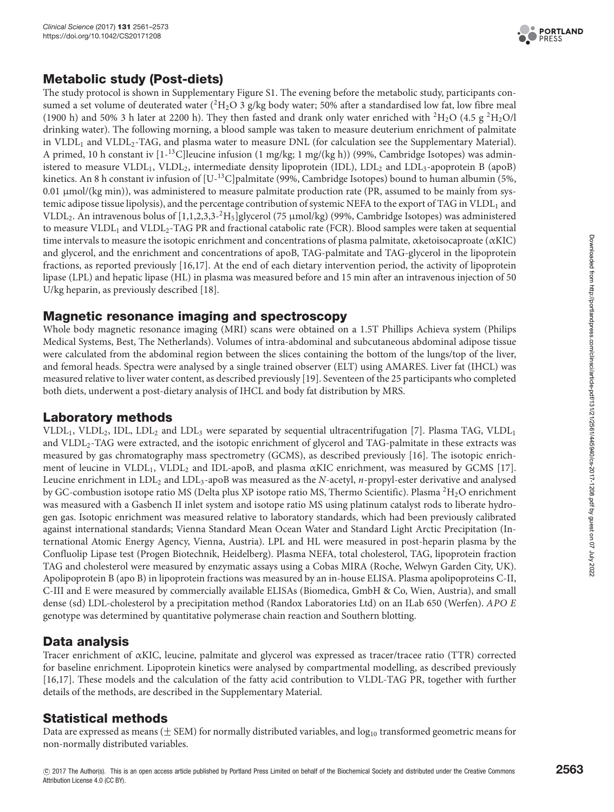

# **Metabolic study (Post-diets)**

The study protocol is shown in Supplementary Figure S1. The evening before the metabolic study, participants consumed a set volume of deuterated water  $({}^{2}H_{2}O_3)$  g/kg body water; 50% after a standardised low fat, low fibre meal (1900 h) and 50% 3 h later at 2200 h). They then fasted and drank only water enriched with  ${}^{2}H_{2}O(4.5 g^{2}H_{2}O/l$ drinking water). The following morning, a blood sample was taken to measure deuterium enrichment of palmitate in VLDL<sub>1</sub> and VLDL<sub>2</sub>-TAG, and plasma water to measure DNL (for calculation see the Supplementary Material). A primed, 10 h constant iv  $[1^{-13}C]$ leucine infusion  $(1 \text{ mg/kg}; 1 \text{ mg/(kg h)})$  (99%, Cambridge Isotopes) was administered to measure VLDL<sub>1</sub>, VLDL<sub>2</sub>, intermediate density lipoprotein (IDL), LDL<sub>2</sub> and LDL<sub>3</sub>-apoprotein B (apoB) kinetics. An 8 h constant iv infusion of [U-<sup>13</sup>C]palmitate (99%, Cambridge Isotopes) bound to human albumin (5%, 0.01 μmol/(kg min)), was administered to measure palmitate production rate (PR, assumed to be mainly from systemic adipose tissue lipolysis), and the percentage contribution of systemic NEFA to the export of TAG in VLDL<sub>1</sub> and VLDL<sub>2</sub>. An intravenous bolus of  $[1,1,2,3,3^{-2}H_5]$ glycerol (75 µmol/kg) (99%, Cambridge Isotopes) was administered to measure VLDL<sub>1</sub> and VLDL<sub>2</sub>-TAG PR and fractional catabolic rate (FCR). Blood samples were taken at sequential time intervals to measure the isotopic enrichment and concentrations of plasma palmitate, αketoisocaproate (αKIC) and glycerol, and the enrichment and concentrations of apoB, TAG-palmitate and TAG-glycerol in the lipoprotein fractions, as reported previously [\[16,](#page-11-9)[17\]](#page-11-10). At the end of each dietary intervention period, the activity of lipoprotein lipase (LPL) and hepatic lipase (HL) in plasma was measured before and 15 min after an intravenous injection of 50 U/kg heparin, as previously described [\[18\]](#page-11-11).

### **Magnetic resonance imaging and spectroscopy**

Whole body magnetic resonance imaging (MRI) scans were obtained on a 1.5T Phillips Achieva system (Philips Medical Systems, Best, The Netherlands). Volumes of intra-abdominal and subcutaneous abdominal adipose tissue were calculated from the abdominal region between the slices containing the bottom of the lungs/top of the liver, and femoral heads. Spectra were analysed by a single trained observer (ELT) using AMARES. Liver fat (IHCL) was measured relative to liver water content, as described previously [\[19\]](#page-11-12). Seventeen of the 25 participants who completed both diets, underwent a post-dietary analysis of IHCL and body fat distribution by MRS.

### **Laboratory methods**

VLDL<sub>1</sub>, VLDL<sub>2</sub>, IDL, LDL<sub>2</sub> and LDL<sub>3</sub> were separated by sequential ultracentrifugation [\[7\]](#page-11-2). Plasma TAG, VLDL<sub>1</sub> and VLDL2-TAG were extracted, and the isotopic enrichment of glycerol and TAG-palmitate in these extracts was measured by gas chromatography mass spectrometry (GCMS), as described previously [\[16\]](#page-11-9). The isotopic enrich-ment of leucine in VLDL<sub>1</sub>, VLDL<sub>2</sub> and IDL-apoB, and plasma αKIC enrichment, was measured by GCMS [\[17\]](#page-11-10). Leucine enrichment in LDL2 and LDL3-apoB was measured as the *N-*acetyl, *n*-propyl-ester derivative and analysed by GC-combustion isotope ratio MS (Delta plus XP isotope ratio MS, Thermo Scientific). Plasma  ${}^{2}H_{2}O$  enrichment was measured with a Gasbench II inlet system and isotope ratio MS using platinum catalyst rods to liberate hydrogen gas. Isotopic enrichment was measured relative to laboratory standards, which had been previously calibrated against international standards; Vienna Standard Mean Ocean Water and Standard Light Arctic Precipitation (International Atomic Energy Agency, Vienna, Austria). LPL and HL were measured in post-heparin plasma by the Confluolip Lipase test (Progen Biotechnik, Heidelberg). Plasma NEFA, total cholesterol, TAG, lipoprotein fraction TAG and cholesterol were measured by enzymatic assays using a Cobas MIRA (Roche, Welwyn Garden City, UK). Apolipoprotein B (apo B) in lipoprotein fractions was measured by an in-house ELISA. Plasma apolipoproteins C-II, C-III and E were measured by commercially available ELISAs (Biomedica, GmbH&Co, Wien, Austria), and small dense (sd) LDL-cholesterol by a precipitation method (Randox Laboratories Ltd) on an ILab 650 (Werfen). *APO E* genotype was determined by quantitative polymerase chain reaction and Southern blotting.

# **Data analysis**

Tracer enrichment of αKIC, leucine, palmitate and glycerol was expressed as tracer/tracee ratio (TTR) corrected for baseline enrichment. Lipoprotein kinetics were analysed by compartmental modelling, as described previously [\[16,](#page-11-9)[17\]](#page-11-10). These models and the calculation of the fatty acid contribution to VLDL-TAG PR, together with further details of the methods, are described in the Supplementary Material.

# **Statistical methods**

Data are expressed as means ( $\pm$  SEM) for normally distributed variables, and log<sub>10</sub> transformed geometric means for non-normally distributed variables.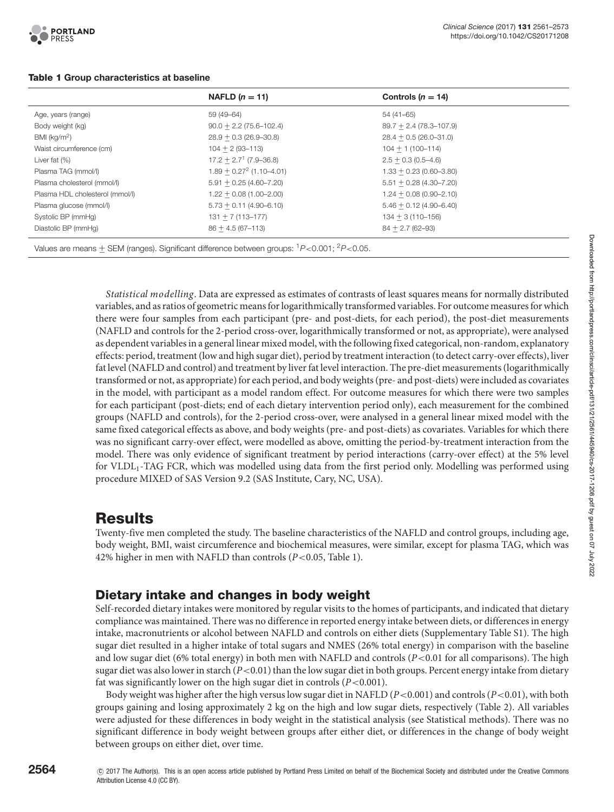<span id="page-3-0"></span>

|                                                                                                                  | NAFLD $(n = 11)$              | Controls ( $n = 14$ )      |  |
|------------------------------------------------------------------------------------------------------------------|-------------------------------|----------------------------|--|
| Age, years (range)                                                                                               | 59 (49–64)                    | 54 (41–65)                 |  |
| Body weight (kg)                                                                                                 | $90.0 + 2.2(75.6 - 102.4)$    | $89.7 + 2.4(78.3 - 107.9)$ |  |
| BMI (kg/m <sup>2</sup> )                                                                                         | $28.9 + 0.3(26.9 - 30.8)$     | $28.4 + 0.5(26.0 - 31.0)$  |  |
| Waist circumference (cm)                                                                                         | $104 + 2(93 - 113)$           | $104 + 1(100 - 114)$       |  |
| Liver fat $(\%)$                                                                                                 | $17.2 + 2.71$ (7.9-36.8)      | $2.5 + 0.3$ (0.5–4.6)      |  |
| Plasma TAG (mmol/l)                                                                                              | $1.89 + 0.27^{2}$ (1.10-4.01) | $1.33 + 0.23(0.60 - 3.80)$ |  |
| Plasma cholesterol (mmol/l)                                                                                      | $5.91 + 0.25 (4.60 - 7.20)$   | $5.51 + 0.28$ (4.30-7.20)  |  |
| Plasma HDL cholesterol (mmol/l)                                                                                  | $1.22 + 0.08(1.00 - 2.00)$    | $1.24 + 0.08(0.90 - 2.10)$ |  |
| Plasma glucose (mmol/l)                                                                                          | $5.73 + 0.11(4.90 - 6.10)$    | $5.46 + 0.12$ (4.90-6.40)  |  |
| Systolic BP (mmHg)                                                                                               | $131 + 7(113 - 177)$          | $134 + 3(110 - 156)$       |  |
| Diastolic BP (mmHg)                                                                                              | $86 + 4.5(67 - 113)$          | $84 + 2.7(62 - 93)$        |  |
| Values are means $\pm$ SEM (ranges). Significant difference between groups: ${}^{1}P$ < 0.001; ${}^{2}P$ < 0.05. |                               |                            |  |

#### **Table 1 Group characteristics at baseline**

*Statistical modelling*. Data are expressed as estimates of contrasts of least squares means for normally distributed variables, and as ratios of geometric means forlogarithmically transformed variables. For outcome measures for which there were four samples from each participant (pre- and post-diets, for each period), the post-diet measurements (NAFLD and controls for the 2-period cross-over, logarithmically transformed or not, as appropriate), were analysed as dependent variables in a general linear mixed model, with the following fixed categorical, non-random, explanatory effects: period, treatment (low and high sugar diet), period by treatment interaction (to detect carry-over effects), liver fat level(NAFLD and control) and treatment by liver fat level interaction. The pre-diet measurements (logarithmically transformed or not, as appropriate) for each period, and body weights (pre- and post-diets) were included as covariates in the model, with participant as a model random effect. For outcome measures for which there were two samples for each participant (post-diets; end of each dietary intervention period only), each measurement for the combined groups (NAFLD and controls), for the 2-period cross-over, were analysed in a general linear mixed model with the same fixed categorical effects as above, and body weights (pre- and post-diets) as covariates. Variables for which there was no significant carry-over effect, were modelled as above, omitting the period-by-treatment interaction from the model. There was only evidence of significant treatment by period interactions (carry-over effect) at the 5% level for VLDL1-TAG FCR, which was modelled using data from the first period only. Modelling was performed using procedure MIXED of SAS Version 9.2 (SAS Institute, Cary, NC, USA).

# **Results**

Twenty-five men completed the study. The baseline characteristics of the NAFLD and control groups, including age, body weight, BMI, waist circumference and biochemical measures, were similar, except for plasma TAG, which was 42% higher in men with NAFLD than controls (*P*<0.05, [Table](#page-3-0) 1).

# **Dietary intake and changes in body weight**

Self-recorded dietary intakes were monitored by regular visits to the homes of participants, and indicated that dietary compliance was maintained. There was no difference in reported energy intake between diets, or differences in energy intake, macronutrients or alcohol between NAFLD and controls on either diets (Supplementary Table S1). The high sugar diet resulted in a higher intake of total sugars and NMES (26% total energy) in comparison with the baseline and low sugar diet (6% total energy) in both men with NAFLD and controls  $(P<0.01$  for all comparisons). The high sugar diet was also lower in starch (*P*<0.01) than the low sugar diet in both groups. Percent energy intake from dietary fat was significantly lower on the high sugar diet in controls (*P*<0.001).

Body weight was higher after the high versuslow sugar diet in NAFLD (*P*<0.001) and controls (*P*<0.01), with both groups gaining and losing approximately 2 kg on the high and low sugar diets, respectively [\(Table 2\)](#page-4-0). All variables were adjusted for these differences in body weight in the statistical analysis (see Statistical methods). There was no significant difference in body weight between groups after either diet, or differences in the change of body weight between groups on either diet, over time.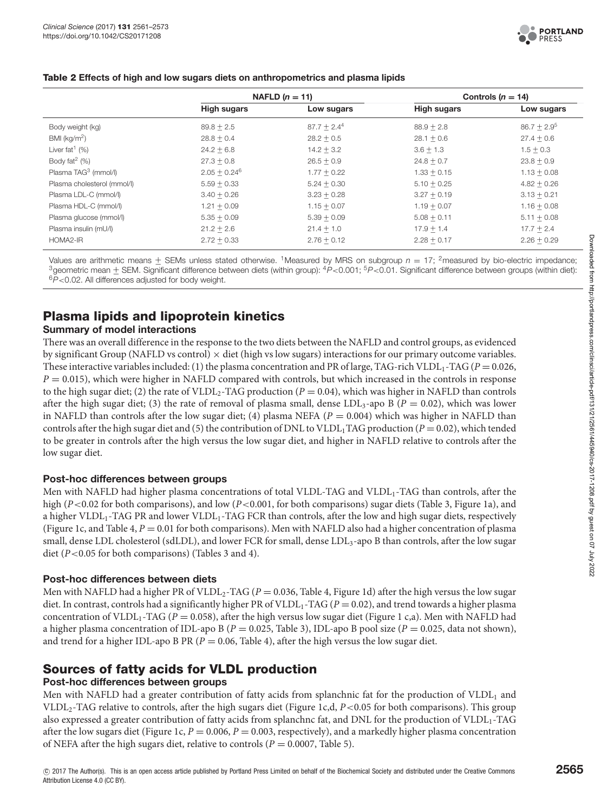

#### <span id="page-4-0"></span>**Table 2 Effects of high and low sugars diets on anthropometrics and plasma lipids**

|                                  | NAFLD $(n = 11)$   |               | Controls ( $n = 14$ ) |               |
|----------------------------------|--------------------|---------------|-----------------------|---------------|
|                                  | <b>High sugars</b> | Low sugars    | <b>High sugars</b>    | Low sugars    |
| Body weight (kg)                 | $89.8 + 2.5$       | $87.7 + 2.44$ | $88.9 + 2.8$          | $86.7 + 2.95$ |
| BMI (kg/m <sup>2</sup> )         | $28.8 + 0.4$       | $28.2 + 0.5$  | $28.1 + 0.6$          | $27.4 + 0.6$  |
| Liver fat <sup>1</sup> $(%)$     | $24.2 + 6.8$       | $14.2 + 3.2$  | $3.6 + 1.3$           | $1.5 + 0.3$   |
| Body fat <sup>2</sup> $(%)$      | $27.3 + 0.8$       | $26.5 + 0.9$  | $24.8 + 0.7$          | $23.8 + 0.9$  |
| Plasma TAG <sup>3</sup> (mmol/l) | $2.05 + 0.24^6$    | $1.77 + 0.22$ | $1.33 + 0.15$         | $1.13 + 0.08$ |
| Plasma cholesterol (mmol/l)      | $5.59 + 0.33$      | $5.24 + 0.30$ | $5.10 + 0.25$         | $4.82 + 0.26$ |
| Plasma LDL-C (mmol/l)            | $3.40 + 0.26$      | $3.23 + 0.28$ | $3.27 + 0.19$         | $3.13 + 0.21$ |
| Plasma HDL-C (mmol/l)            | $1.21 + 0.09$      | $1.15 + 0.07$ | $1.19 + 0.07$         | $1.16 + 0.08$ |
| Plasma glucose (mmol/l)          | $5.35 + 0.09$      | $5.39 + 0.09$ | $5.08 + 0.11$         | $5.11 + 0.08$ |
| Plasma insulin (mU/l)            | $21.2 + 2.6$       | $21.4 + 1.0$  | $17.9 + 1.4$          | $17.7 + 2.4$  |
| HOMA2-IR                         | $2.72 + 0.33$      | $2.76 + 0.12$ | $2.28 + 0.17$         | $2.26 + 0.29$ |

Values are arithmetic means  $\pm$  SEMs unless stated otherwise. <sup>1</sup>Measured by MRS on subgroup  $n = 17$ ; <sup>2</sup>measured by bio-electric impedance;<br><sup>3</sup>geometric mean  $\pm$  SEM. Significant difference between diets (within group)

# **Plasma lipids and lipoprotein kinetics**

#### **Summary of model interactions**

There was an overall difference in the response to the two diets between the NAFLD and control groups, as evidenced by significant Group (NAFLD vs control)  $\times$  diet (high vs low sugars) interactions for our primary outcome variables. These interactive variables included: (1) the plasma concentration and PR of large, TAG-rich VLDL<sub>1</sub>-TAG ( $P = 0.026$ , *P* = 0.015), which were higher in NAFLD compared with controls, but which increased in the controls in response to the high sugar diet; (2) the rate of VLDL<sub>2</sub>-TAG production ( $P = 0.04$ ), which was higher in NAFLD than controls after the high sugar diet; (3) the rate of removal of plasma small, dense LDL<sub>3</sub>-apo B ( $P = 0.02$ ), which was lower in NAFLD than controls after the low sugar diet; (4) plasma NEFA ( $P = 0.004$ ) which was higher in NAFLD than controls after the high sugar diet and (5) the contribution of DNL to  $VLDL_1TAG$  production ( $P = 0.02$ ), which tended to be greater in controls after the high versus the low sugar diet, and higher in NAFLD relative to controls after the low sugar diet.

#### **Post-hoc differences between groups**

Men with NAFLD had higher plasma concentrations of total VLDL-TAG and VLDL<sub>1</sub>-TAG than controls, after the high (*P*<0.02 for both comparisons), and low (*P*<0.001, for both comparisons) sugar diets [\(Table 3,](#page-5-0) [Figure](#page-6-0) 1a), and a higher VLDL1-TAG PR and lower VLDL1-TAG FCR than controls, after the low and high sugar diets, respectively [\(Figure](#page-6-0) 1c, and [Table](#page-5-1) 4, *P* = 0.01 for both comparisons). Men with NAFLD also had a higher concentration of plasma small, dense LDL cholesterol (sdLDL), and lower FCR for small, dense LDL<sub>3</sub>-apo B than controls, after the low sugar diet (*P*<0.05 for both comparisons) [\(Tables 3](#page-5-0) and [4\)](#page-5-1).

#### **Post-hoc differences between diets**

Men with NAFLD had a higher PR of VLDL<sub>2</sub>-TAG ( $P = 0.036$ , [Table](#page-5-1) 4, [Figure](#page-6-0) 1d) after the high versus the low sugar diet. In contrast, controls had a significantly higher PR of VLDL<sub>1</sub>-TAG ( $P = 0.02$ ), and trend towards a higher plasma concentration of VLDL<sub>1</sub>-TAG ( $P = 0.058$ ), after the high versus low sugar diet [\(Figure](#page-6-0) 1 c,a). Men with NAFLD had a higher plasma concentration of IDL-apo B ( $P = 0.025$ , [Table 3\)](#page-5-0), IDL-apo B pool size ( $P = 0.025$ , data not shown), and trend for a higher IDL-apo B PR ( $P = 0.06$ , [Table](#page-5-1) 4), after the high versus the low sugar diet.

#### **Sources of fatty acids for VLDL production**

#### **Post-hoc differences between groups**

Men with NAFLD had a greater contribution of fatty acids from splanchnic fat for the production of VLDL<sub>1</sub> and VLDL2-TAG relative to controls, after the high sugars diet [\(Figure](#page-6-0) 1c,d, *P*<0.05 for both comparisons). This group also expressed a greater contribution of fatty acids from splanchnc fat, and DNL for the production of VLDL<sub>1</sub>-TAG after the low sugars diet [\(Figure](#page-6-0) 1c,  $P = 0.006$ ,  $P = 0.003$ , respectively), and a markedly higher plasma concentration of NEFA after the high sugars diet, relative to controls ( $P = 0.0007$ , [Table](#page-6-1) 5).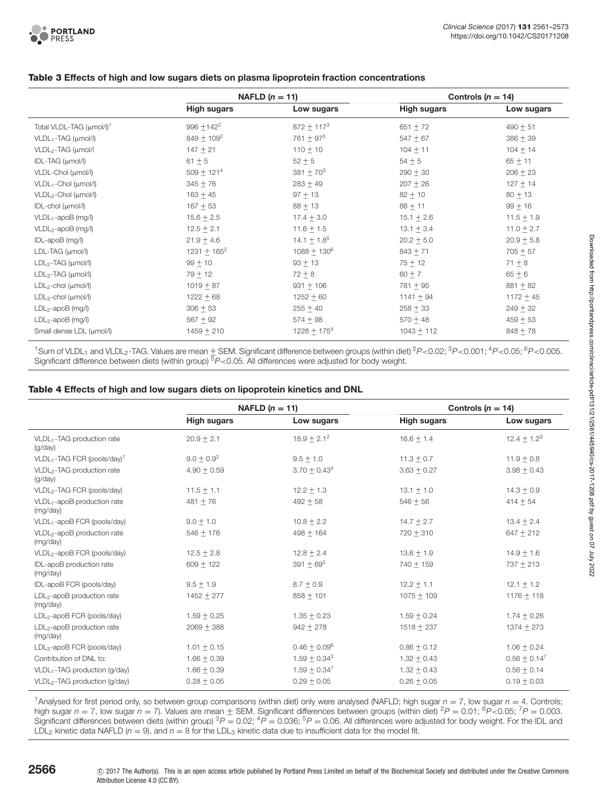#### **Table 3 Effects of high and low sugars diets on plasma lipoprotein fraction concentrations**

<span id="page-5-0"></span>

|                                      | NAFLD $(n = 11)$   |                    | Controls ( $n = 14$ ) |                |
|--------------------------------------|--------------------|--------------------|-----------------------|----------------|
|                                      | <b>High sugars</b> | Low sugars         | <b>High sugars</b>    | Low sugars     |
| Total VLDL-TAG (µmol/l) <sup>1</sup> | $996 + 142^2$      | $872 + 1173$       | $651 + 72$            | $490 + 51$     |
| VLDL1-TAG (µmol/l)                   | $849 + 109^2$      | $761 + 973$        | $547 + 67$            | $386 + 39$     |
| VLDL <sub>2</sub> -TAG (µmol/l       | $147 + 21$         | $110 + 10$         | $104 + 11$            | $104 + 14$     |
| IDL-TAG (µmol/l)                     | $61 + 5$           | $52 + 5$           | $54 + 5$              | $65 + 11$      |
| VLDL-Chol (µmol/l)                   | $509 + 121^{4}$    | $381 + 70^{3}$     | $290 + 30$            | $206 + 23$     |
| $VLDL1$ -Chol ( $\mu$ mol/l)         | $345 + 76$         | $283 + 49$         | $207 + 26$            | $127 + 14$     |
| $VLDL2$ -Chol ( $\mu$ mol/l)         | $163 + 45$         | $97 + 13$          | $82 + 10$             | $80 + 13$      |
| IDL-chol (µmol/l)                    | $167 + 53$         | $88 + 13$          | $88 + 11$             | $99 + 16$      |
| $VLDL1$ -apoB (mg/l)                 | $15.6 + 2.5$       | $17.4 + 3.0$       | $15.1 + 2.6$          | $11.5 + 1.9$   |
| VLDL <sub>2</sub> -apoB (mg/l)       | $12.5 + 2.1$       | $11.6 + 1.5$       | $13.1 \pm 3.4$        | $11.0 \pm 2.7$ |
| IDL-apoB (mg/l)                      | $21.9 + 4.6$       | $14.1 \pm 1.8^{5}$ | $20.2 + 5.0$          | $20.9 + 5.8$   |
| LDL-TAG (µmol/l)                     | $1231 + 165^2$     | $1088 + 130^6$     | $843 + 71$            | $705 + 57$     |
| $LDL2-TAG (µmol/l)$                  | $99 + 10$          | $93 + 13$          | $75 + 12$             | $71 + 8$       |
| $LDL3-TAG (µmol/l)$                  | $79 + 12$          | $72 + 8$           | $60 + 7$              | $65 + 6$       |
| $LDL2$ -chol ( $\mu$ mol/l)          | $1019 + 87$        | $931 + 106$        | $781 + 95$            | $881 + 82$     |
| $LDL_3$ -chol ( $\mu$ mol/l)         | $1222 + 68$        | $1252 + 60$        | $1141 + 94$           | $1172 + 45$    |
| $LDL2$ -apoB (mg/l)                  | $306 + 53$         | $255 + 40$         | $258 + 33$            | $249 + 32$     |
| $LDL_3$ -apoB (mg/l)                 | $567 + 92$         | $574 + 98$         | $570 + 48$            | $459 + 53$     |
| Small dense LDL (µmol/l)             | $1459 + 210$       | $1228 + 175^{4}$   | $1043 + 112$          | $848 + 78$     |

<sup>1</sup>Sum of VLDL<sub>1</sub> and VLDL<sub>2</sub>-TAG. Values are mean  $\pm$  SEM. Significant difference between groups (within diet) <sup>2</sup>P<0.02; <sup>3</sup>P<0.001; <sup>4</sup>P<0.05; <sup>6</sup>P<0.005. Significant difference between diets (within group) <sup>5</sup>P<0.05. All differences were adjusted for body weight.

#### **Table 4 Effects of high and low sugars diets on lipoprotein kinetics and DNL**

<span id="page-5-1"></span>

|                                                     | NAFLD $(n = 11)$   |                 | Controls $(n = 14)$ |                 |
|-----------------------------------------------------|--------------------|-----------------|---------------------|-----------------|
|                                                     | <b>High sugars</b> | Low sugars      | <b>High sugars</b>  | Low sugars      |
| VLDL <sub>1</sub> -TAG production rate<br>(q/day)   | $20.9 + 2.1$       | $18.9 + 2.1^2$  | $16.6 + 1.4$        | $12.4 + 1.23$   |
| VLDL1-TAG FCR (pools/day) <sup>1</sup>              | $9.0 + 0.9^2$      | $9.5 + 1.0$     | $11.3 + 0.7$        | $11.9 + 0.8$    |
| VLDL <sub>2</sub> -TAG production rate<br>(g/day)   | $4.90 + 0.59$      | $3.70 + 0.434$  | $3.63 + 0.27$       | $3.98 + 0.43$   |
| VLDL <sub>2</sub> -TAG FCR (pools/day)              | $11.5 + 1.1$       | $12.2 + 1.3$    | $13.1 + 1.0$        | $14.3 + 0.9$    |
| VLDL <sub>1</sub> -apoB production rate<br>(mg/day) | $481 + 76$         | $492 + 58$      | $546 + 56$          | $414 + 54$      |
| VLDL <sub>1</sub> -apoB FCR (pools/day)             | $9.0 + 1.0$        | $10.8 + 2.2$    | $14.7 + 2.7$        | $13.4 + 2.4$    |
| VLDL <sub>2</sub> -apoB production rate<br>(mg/day) | $546 + 176$        | $498 + 164$     | $720 + 310$         | $647 + 212$     |
| VLDL <sub>2</sub> -apoB FCR (pools/day)             | $12.5 + 2.8$       | $12.8 + 2.4$    | $13.6 + 1.9$        | $14.9 + 1.6$    |
| IDL-apoB production rate<br>(mg/day)                | $609 + 122$        | $391 + 695$     | $740 + 159$         | $737 + 213$     |
| IDL-apoB FCR (pools/day)                            | $9.5 + 1.9$        | $8.7 + 0.9$     | $12.2 + 1.1$        | $12.1 + 1.2$    |
| LDL <sub>2</sub> -apoB production rate<br>(mg/day)  | $1452 + 277$       | $858 + 101$     | $1075 + 109$        | $1176 + 118$    |
| LDL <sub>2</sub> -apoB FCR (pools/day)              | $1.59 + 0.25$      | $1.35 + 0.23$   | $1.59 + 0.24$       | $1.74 + 0.26$   |
| LDL <sub>3</sub> -apoB production rate<br>(mg/day)  | $2069 + 388$       | $942 + 278$     | $1518 + 237$        | $1374 + 273$    |
| LDL <sub>3</sub> -apoB FCR (pools/day)              | $1.01 + 0.15$      | $0.46 + 0.09^6$ | $0.86 + 0.12$       | $1.06 + 0.24$   |
| Contribution of DNL to:                             | $1.66 + 0.39$      | $1.59 + 0.34^3$ | $1.32 + 0.43$       | $0.56 + 0.14^7$ |
| VLDL <sub>1</sub> -TAG production (g/day)           | $1.66 + 0.39$      | $1.59 + 0.34^7$ | $1.32 + 0.43$       | $0.56 + 0.14$   |
| VLDL <sub>2</sub> -TAG production (g/day)           | $0.28 + 0.05$      | $0.29 + 0.05$   | $0.26 + 0.05$       | $0.19 + 0.03$   |

<sup>1</sup> Analysed for first period only, so between group comparisons (within diet) only were analysed (NAFLD; high sugar  $n = 7$ , low sugar  $n = 4$ . Controls; high sugar n = 7, low sugar n = 7). Values are mean  $\pm$  SEM. Significant differences between groups (within diet)  ${}^{2}P$  = 0.01;  ${}^{6}P$  < 0.05;  ${}^{7}P$  = 0.003. Significant differences between diets (within group)  ${}^{3}P = 0.02; {}^{4}P = 0.036; {}^{5}P = 0.06$ . All differences were adjusted for body weight. For the IDL and LDL<sub>2</sub> kinetic data NAFLD ( $n = 9$ ), and  $n = 8$  for the LDL<sub>3</sub> kinetic data due to insufficient data for the model fit.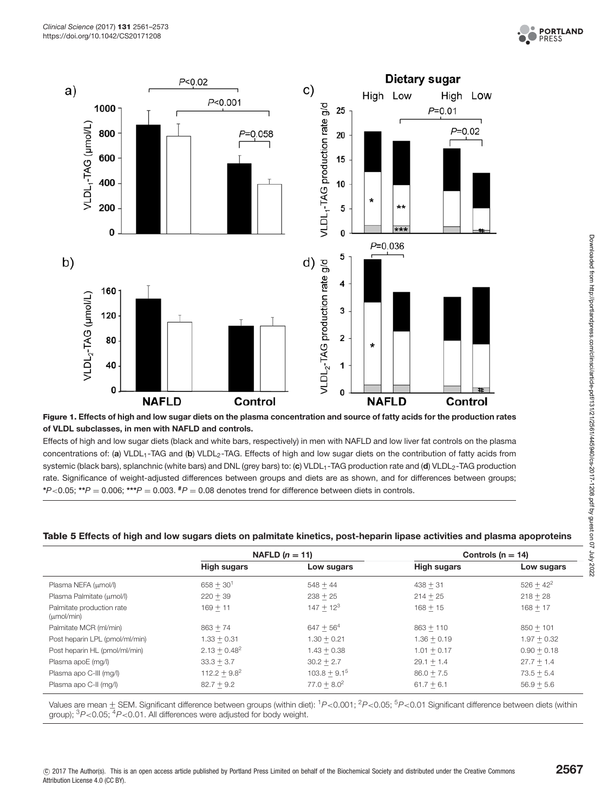

<span id="page-6-0"></span>

Effects of high and low sugar diets (black and white bars, respectively) in men with NAFLD and low liver fat controls on the plasma concentrations of: (a) VLDL<sub>1</sub>-TAG and (b) VLDL<sub>2</sub>-TAG. Effects of high and low sugar diets on the contribution of fatty acids from systemic (black bars), splanchnic (white bars) and DNL (grey bars) to: (**c**) VLDL<sub>1</sub>-TAG production rate and (**d**) VLDL<sub>2</sub>-TAG production rate. Significance of weight-adjusted differences between groups and diets are as shown, and for differences between groups; **\***P<0.05; **\*\***<sup>P</sup> <sup>=</sup> 0.006; **\*\*\***<sup>P</sup> <sup>=</sup> 0.003. **#**<sup>P</sup> <sup>=</sup> 0.08 denotes trend for difference between diets in controls.

#### <span id="page-6-1"></span>**Table 5 Effects of high and low sugars diets on palmitate kinetics, post-heparin lipase activities and plasma apoproteins**

|                                                     | NAFLD $(n = 11)$   |                | Controls ( $n = 14$ ) |               |
|-----------------------------------------------------|--------------------|----------------|-----------------------|---------------|
|                                                     | <b>High sugars</b> | Low sugars     | <b>High sugars</b>    | Low sugars    |
| Plasma NEFA (µmol/l)                                | $658 + 30^{1}$     | $548 + 44$     | $438 + 31$            | $526 + 42^2$  |
| Plasma Palmitate (umol/l)                           | $220 + 39$         | $238 + 25$     | $214 + 25$            | $218 + 28$    |
| Palmitate production rate<br>$(\mu \text{mol/min})$ | $169 + 11$         | $147 + 12^{3}$ | $168 + 15$            | $168 + 17$    |
| Palmitate MCR (ml/min)                              | $863 + 74$         | $647 + 56^{4}$ | $863 + 110$           | $850 + 101$   |
| Post heparin LPL (pmol/ml/min)                      | $1.33 + 0.31$      | $1.30 + 0.21$  | $1.36 + 0.19$         | $1.97 + 0.32$ |
| Post heparin HL (pmol/ml/min)                       | $2.13 + 0.48^2$    | $1.43 + 0.38$  | $1.01 + 0.17$         | $0.90 + 0.18$ |
| Plasma apoE (mg/l)                                  | $33.3 + 3.7$       | $30.2 + 2.7$   | $29.1 + 1.4$          | $27.7 + 1.4$  |
| Plasma apo C-III (mg/l)                             | $112.2 + 9.8^2$    | $103.8 + 9.15$ | $86.0 + 7.5$          | $73.5 + 5.4$  |
| Plasma apo C-II (mg/l)                              | $82.7 + 9.2$       | $77.0 + 8.0^2$ | $61.7 + 6.1$          | $56.9 + 5.6$  |

Values are mean + SEM. Significant difference between groups (within diet): <sup>1</sup>P<0.001; <sup>2</sup>P<0.05; <sup>5</sup>P<0.01 Significant difference between diets (within group);  ${}^{3}P<0.05$ ;  ${}^{4}P<0.01$ . All differences were adjusted for body weight.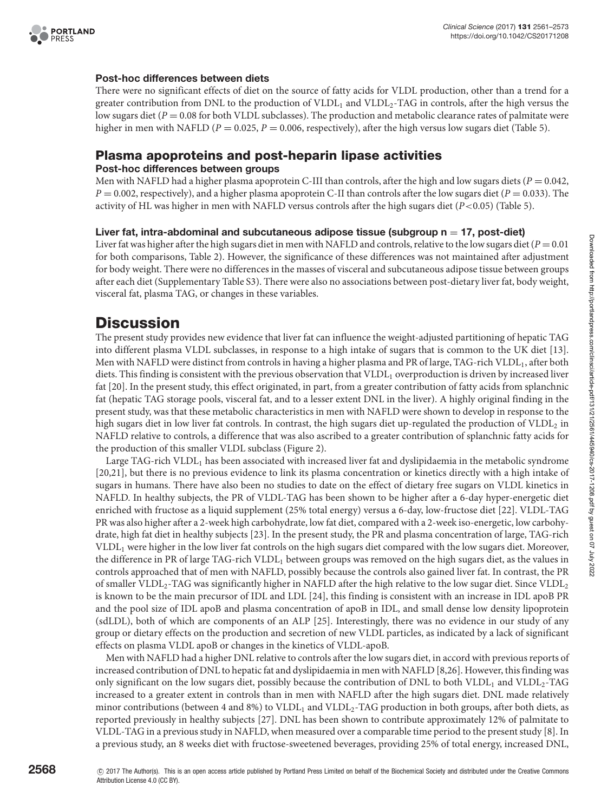

#### **Post-hoc differences between diets**

There were no significant effects of diet on the source of fatty acids for VLDL production, other than a trend for a greater contribution from DNL to the production of VLDL<sub>1</sub> and VLDL<sub>2</sub>-TAG in controls, after the high versus the low sugars diet (*P* = 0.08 for both VLDL subclasses). The production and metabolic clearance rates of palmitate were higher in men with NAFLD (*P* = 0.025, *P* = 0.006, respectively), after the high versus low sugars diet [\(Table](#page-6-1) 5).

#### **Plasma apoproteins and post-heparin lipase activities**

#### **Post-hoc differences between groups**

Men with NAFLD had a higher plasma apoprotein C-III than controls, after the high and low sugars diets ( $P = 0.042$ ,  $P = 0.002$ , respectively), and a higher plasma apoprotein C-II than controls after the low sugars diet ( $P = 0.033$ ). The activity of HL was higher in men with NAFLD versus controls after the high sugars diet (*P*<0.05) [\(Table](#page-6-1) 5).

#### Liver fat, intra-abdominal and subcutaneous adipose tissue (subgroup n = 17, post-diet)

Liver fat was higher after the high sugars diet in men with NAFLD and controls, relative to the low sugars diet  $(P = 0.01)$ for both comparisons, [Table 2\)](#page-4-0). However, the significance of these differences was not maintained after adjustment for body weight. There were no differences in the masses of visceral and subcutaneous adipose tissue between groups after each diet (Supplementary Table S3). There were also no associations between post-dietary liver fat, body weight, visceral fat, plasma TAG, or changes in these variables.

# **Discussion**

The present study provides new evidence that liver fat can influence the weight-adjusted partitioning of hepatic TAG into different plasma VLDL subclasses, in response to a high intake of sugars that is common to the UK diet [13]. Men with NAFLD were distinct from controls in having a higher plasma and PR of large, TAG-rich VLDL<sub>1</sub>, after both diets. This finding is consistent with the previous observation that VLDL<sub>1</sub> overproduction is driven by increased liver fat [\[20\]](#page-11-13). In the present study, this effect originated, in part, from a greater contribution of fatty acids from splanchnic fat (hepatic TAG storage pools, visceral fat, and to a lesser extent DNL in the liver). A highly original finding in the present study, was that these metabolic characteristics in men with NAFLD were shown to develop in response to the high sugars diet in low liver fat controls. In contrast, the high sugars diet up-regulated the production of VLDL<sub>2</sub> in NAFLD relative to controls, a difference that was also ascribed to a greater contribution of splanchnic fatty acids for the production of this smaller VLDL subclass [\(Figure 2\)](#page-8-0).

Large TAG-rich VLDL<sub>1</sub> has been associated with increased liver fat and dyslipidaemia in the metabolic syndrome [\[20,](#page-11-13)[21\]](#page-11-14), but there is no previous evidence to link its plasma concentration or kinetics directly with a high intake of sugars in humans. There have also been no studies to date on the effect of dietary free sugars on VLDL kinetics in NAFLD. In healthy subjects, the PR of VLDL-TAG has been shown to be higher after a 6-day hyper-energetic diet enriched with fructose as a liquid supplement (25% total energy) versus a 6-day, low-fructose diet [\[22\]](#page-11-15). VLDL-TAG PR was also higher after a 2-week high carbohydrate, low fat diet, compared with a 2-week iso-energetic, low carbohydrate, high fat diet in healthy subjects [\[23\]](#page-11-16). In the present study, the PR and plasma concentration of large, TAG-rich VLDL1 were higher in the low liver fat controls on the high sugars diet compared with the low sugars diet. Moreover, the difference in PR of large TAG-rich VLDL<sub>1</sub> between groups was removed on the high sugars diet, as the values in controls approached that of men with NAFLD, possibly because the controls also gained liver fat. In contrast, the PR of smaller  $VLDL<sub>2</sub>$ -TAG was significantly higher in NAFLD after the high relative to the low sugar diet. Since VLDL<sub>2</sub> is known to be the main precursor of IDL and LDL [\[24\]](#page-11-17), this finding is consistent with an increase in IDL apoB PR and the pool size of IDL apoB and plasma concentration of apoB in IDL, and small dense low density lipoprotein (sdLDL), both of which are components of an ALP [\[25\]](#page-11-18). Interestingly, there was no evidence in our study of any group or dietary effects on the production and secretion of new VLDL particles, as indicated by a lack of significant effects on plasma VLDL apoB or changes in the kinetics of VLDL-apoB.

Men with NAFLD had a higher DNL relative to controls after the low sugars diet, in accord with previous reports of increased contribution of DNL to hepatic fat and dyslipidaemia in men with NAFLD [\[8,](#page-11-3)[26\]](#page-11-19). However, this finding was only significant on the low sugars diet, possibly because the contribution of DNL to both VLDL<sub>1</sub> and VLDL<sub>2</sub>-TAG increased to a greater extent in controls than in men with NAFLD after the high sugars diet. DNL made relatively minor contributions (between 4 and 8%) to VLDL<sub>1</sub> and VLDL<sub>2</sub>-TAG production in both groups, after both diets, as reported previously in healthy subjects [\[27\]](#page-11-20). DNL has been shown to contribute approximately 12% of palmitate to VLDL-TAG in a previous study in NAFLD, when measured over a comparable time period to the present study [\[8\]](#page-11-3). In a previous study, an 8 weeks diet with fructose-sweetened beverages, providing 25% of total energy, increased DNL,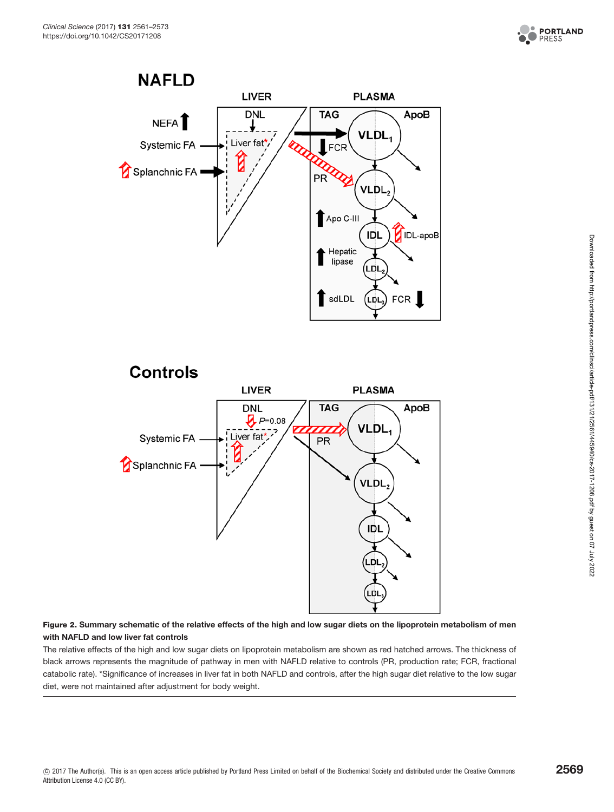





#### <span id="page-8-0"></span>**Figure 2. Summary schematic of the relative effects of the high and low sugar diets on the lipoprotein metabolism of men with NAFLD and low liver fat controls**

The relative effects of the high and low sugar diets on lipoprotein metabolism are shown as red hatched arrows. The thickness of black arrows represents the magnitude of pathway in men with NAFLD relative to controls (PR, production rate; FCR, fractional catabolic rate). \*Significance of increases in liver fat in both NAFLD and controls, after the high sugar diet relative to the low sugar diet, were not maintained after adjustment for body weight.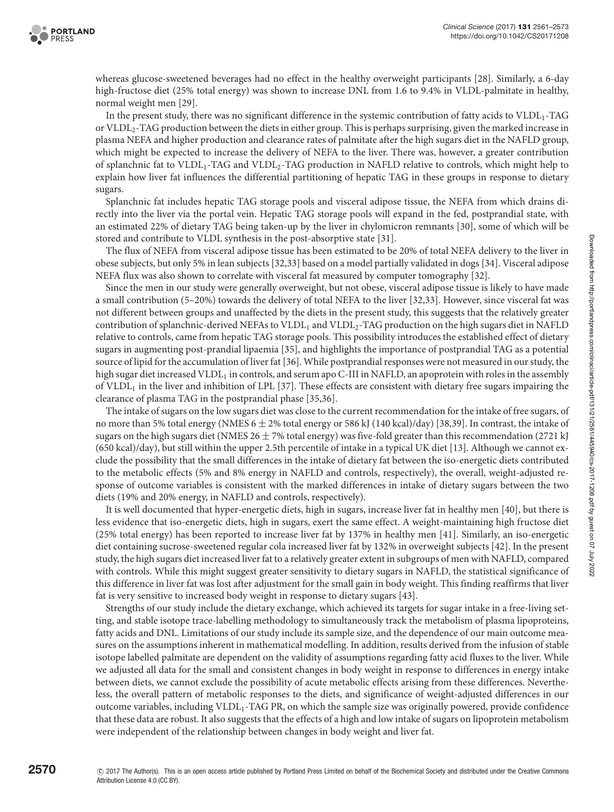

whereas glucose-sweetened beverages had no effect in the healthy overweight participants [\[28\]](#page-11-21). Similarly, a 6-day high-fructose diet (25% total energy) was shown to increase DNL from 1.6 to 9.4% in VLDL-palmitate in healthy, normal weight men [\[29\]](#page-11-22).

In the present study, there was no significant difference in the systemic contribution of fatty acids to VLDL<sub>1</sub>-TAG or VLDL2-TAG production between the diets in either group. This is perhaps surprising, given the marked increase in plasma NEFA and higher production and clearance rates of palmitate after the high sugars diet in the NAFLD group, which might be expected to increase the delivery of NEFA to the liver. There was, however, a greater contribution of splanchnic fat to VLDL<sub>1</sub>-TAG and VLDL<sub>2</sub>-TAG production in NAFLD relative to controls, which might help to explain how liver fat influences the differential partitioning of hepatic TAG in these groups in response to dietary sugars.

Splanchnic fat includes hepatic TAG storage pools and visceral adipose tissue, the NEFA from which drains directly into the liver via the portal vein. Hepatic TAG storage pools will expand in the fed, postprandial state, with an estimated 22% of dietary TAG being taken-up by the liver in chylomicron remnants [\[30\]](#page-11-23), some of which will be stored and contribute to VLDL synthesis in the post-absorptive state [\[31\]](#page-11-24).

The flux of NEFA from visceral adipose tissue has been estimated to be 20% of total NEFA delivery to the liver in obese subjects, but only 5% in lean subjects [\[32](#page-11-25)[,33\]](#page-11-26) based on a model partially validated in dogs [\[34\]](#page-11-27). Visceral adipose NEFA flux was also shown to correlate with visceral fat measured by computer tomography [\[32\]](#page-11-25).

Since the men in our study were generally overweight, but not obese, visceral adipose tissue is likely to have made a small contribution (5–20%) towards the delivery of total NEFA to the liver [\[32](#page-11-25)[,33\]](#page-11-26). However, since visceral fat was not different between groups and unaffected by the diets in the present study, this suggests that the relatively greater contribution of splanchnic-derived NEFAs to VLDL<sub>1</sub> and VLDL<sub>2</sub>-TAG production on the high sugars diet in NAFLD relative to controls, came from hepatic TAG storage pools. This possibility introduces the established effect of dietary sugars in augmenting post-prandial lipaemia [\[35\]](#page-11-28), and highlights the importance of postprandial TAG as a potential source of lipid for the accumulation of liver fat [\[36\]](#page-12-0). While postprandialresponses were not measured in our study, the high sugar diet increased VLDL<sub>1</sub> in controls, and serum apo C-III in NAFLD, an apoprotein with roles in the assembly of  $VLDL<sub>1</sub>$  in the liver and inhibition of LPL [\[37\]](#page-12-1). These effects are consistent with dietary free sugars impairing the clearance of plasma TAG in the postprandial phase [\[35](#page-11-28)[,36\]](#page-12-0).

The intake of sugars on the low sugars diet was close to the current recommendation for the intake of free sugars, of no more than 5% total energy (NMES 6  $\pm$  2% total energy or 586 kJ (140 kcal)/day) [38,39]. In contrast, the intake of sugars on the high sugars diet (NMES 26  $\pm$  7% total energy) was five-fold greater than this recommendation (2721 kJ (650 kcal)/day), but still within the upper 2.5th percentile of intake in a typical UK diet [13]. Although we cannot exclude the possibility that the small differences in the intake of dietary fat between the iso-energetic diets contributed to the metabolic effects (5% and 8% energy in NAFLD and controls, respectively), the overall, weight-adjusted response of outcome variables is consistent with the marked differences in intake of dietary sugars between the two diets (19% and 20% energy, in NAFLD and controls, respectively).

It is well documented that hyper-energetic diets, high in sugars, increase liver fat in healthy men [\[40\]](#page-12-2), but there is less evidence that iso-energetic diets, high in sugars, exert the same effect. A weight-maintaining high fructose diet (25% total energy) has been reported to increase liver fat by 137% in healthy men [\[41\]](#page-12-3). Similarly, an iso-energetic diet containing sucrose-sweetened regular cola increased liver fat by 132% in overweight subjects [\[42\]](#page-12-4). In the present study, the high sugars diet increased liver fat to a relatively greater extent in subgroups of men with NAFLD, compared with controls. While this might suggest greater sensitivity to dietary sugars in NAFLD, the statistical significance of this difference in liver fat was lost after adjustment for the small gain in body weight. This finding reaffirms that liver fat is very sensitive to increased body weight in response to dietary sugars [\[43\]](#page-12-5).

Strengths of our study include the dietary exchange, which achieved its targets for sugar intake in a free-living setting, and stable isotope trace-labelling methodology to simultaneously track the metabolism of plasma lipoproteins, fatty acids and DNL. Limitations of our study include its sample size, and the dependence of our main outcome measures on the assumptions inherent in mathematical modelling. In addition, results derived from the infusion of stable isotope labelled palmitate are dependent on the validity of assumptions regarding fatty acid fluxes to the liver. While we adjusted all data for the small and consistent changes in body weight in response to differences in energy intake between diets, we cannot exclude the possibility of acute metabolic effects arising from these differences. Nevertheless, the overall pattern of metabolic responses to the diets, and significance of weight-adjusted differences in our outcome variables, including VLDL1-TAG PR, on which the sample size was originally powered, provide confidence that these data are robust. It also suggests that the effects of a high and low intake of sugars on lipoprotein metabolism were independent of the relationship between changes in body weight and liver fat.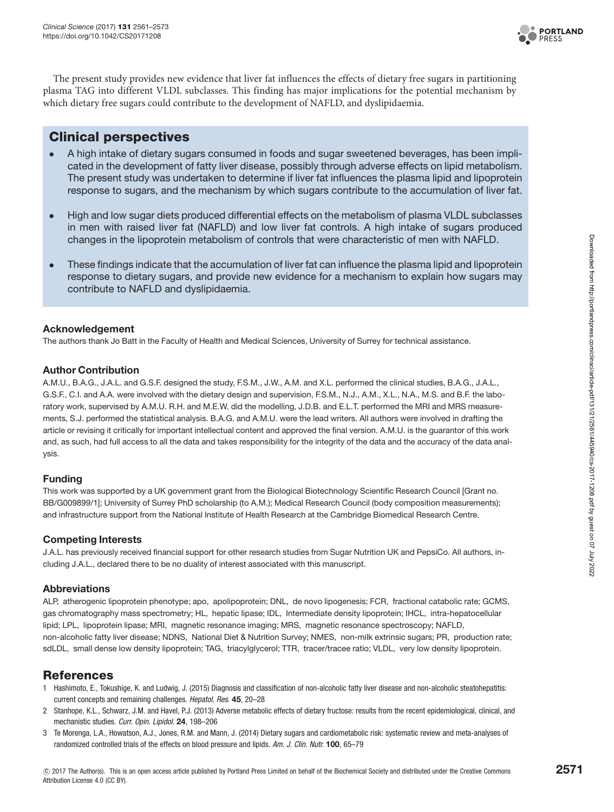

The present study provides new evidence that liver fat influences the effects of dietary free sugars in partitioning plasma TAG into different VLDL subclasses. This finding has major implications for the potential mechanism by which dietary free sugars could contribute to the development of NAFLD, and dyslipidaemia.

### **Clinical perspectives**

- A high intake of dietary sugars consumed in foods and sugar sweetened beverages, has been implicated in the development of fatty liver disease, possibly through adverse effects on lipid metabolism. The present study was undertaken to determine if liver fat influences the plasma lipid and lipoprotein response to sugars, and the mechanism by which sugars contribute to the accumulation of liver fat.
- High and low sugar diets produced differential effects on the metabolism of plasma VLDL subclasses in men with raised liver fat (NAFLD) and low liver fat controls. A high intake of sugars produced changes in the lipoprotein metabolism of controls that were characteristic of men with NAFLD.
- These findings indicate that the accumulation of liver fat can influence the plasma lipid and lipoprotein response to dietary sugars, and provide new evidence for a mechanism to explain how sugars may contribute to NAFLD and dyslipidaemia.

#### **Acknowledgement**

The authors thank Jo Batt in the Faculty of Health and Medical Sciences, University of Surrey for technical assistance.

#### **Author Contribution**

A.M.U., B.A.G., J.A.L. and G.S.F. designed the study, F.S.M., J.W., A.M. and X.L. performed the clinical studies, B.A.G., J.A.L., G.S.F., C.I. and A.A. were involved with the dietary design and supervision, F.S.M., N.J., A.M., X.L., N.A., M.S. and B.F. the laboratory work, supervised by A.M.U. R.H. and M.E.W. did the modelling, J.D.B. and E.L.T. performed the MRI and MRS measurements, S.J. performed the statistical analysis. B.A.G. and A.M.U. were the lead writers. All authors were involved in drafting the article or revising it critically for important intellectual content and approved the final version. A.M.U. is the guarantor of this work and, as such, had full access to all the data and takes responsibility for the integrity of the data and the accuracy of the data analysis.

#### **Funding**

This work was supported by a UK government grant from the Biological Biotechnology Scientific Research Council [Grant no. BB/G009899/1]; University of Surrey PhD scholarship (to A.M.); Medical Research Council (body composition measurements); and infrastructure support from the National Institute of Health Research at the Cambridge Biomedical Research Centre.

#### **Competing Interests**

J.A.L. has previously received financial support for other research studies from Sugar Nutrition UK and PepsiCo. All authors, including J.A.L., declared there to be no duality of interest associated with this manuscript.

#### **Abbreviations**

ALP, atherogenic lipoprotein phenotype; apo, apolipoprotein; DNL, de novo lipogenesis; FCR, fractional catabolic rate; GCMS, gas chromatography mass spectrometry; HL, hepatic lipase; IDL, Intermediate density lipoprotein; IHCL, intra-hepatocellular lipid; LPL, lipoprotein lipase; MRI, magnetic resonance imaging; MRS, magnetic resonance spectroscopy; NAFLD, non-alcoholic fatty liver disease; NDNS, National Diet & Nutrition Survey; NMES, non-milk extrinsic sugars; PR, production rate; sdLDL, small dense low density lipoprotein; TAG, triacylglycerol; TTR, tracer/tracee ratio; VLDL, very low density lipoprotein.

#### **References**

- <span id="page-10-0"></span>1 Hashimoto, E., Tokushige, K. and Ludwig, J. (2015) Diagnosis and classification of non-alcoholic fatty liver disease and non-alcoholic steatohepatitis: current concepts and remaining challenges. Hepatol. Res. **45**, 20–28
- <span id="page-10-1"></span>2 Stanhope, K.L., Schwarz, J.M. and Havel, P.J. (2013) Adverse metabolic effects of dietary fructose: results from the recent epidemiological, clinical, and mechanistic studies. Curr. Opin. Lipidol. **24**, 198–206
- 3 Te Morenga, L.A., Howatson, A.J., Jones, R.M. and Mann, J. (2014) Dietary sugars and cardiometabolic risk: systematic review and meta-analyses of randomized controlled trials of the effects on blood pressure and lipids. Am. J. Clin. Nutr. **100**, 65–79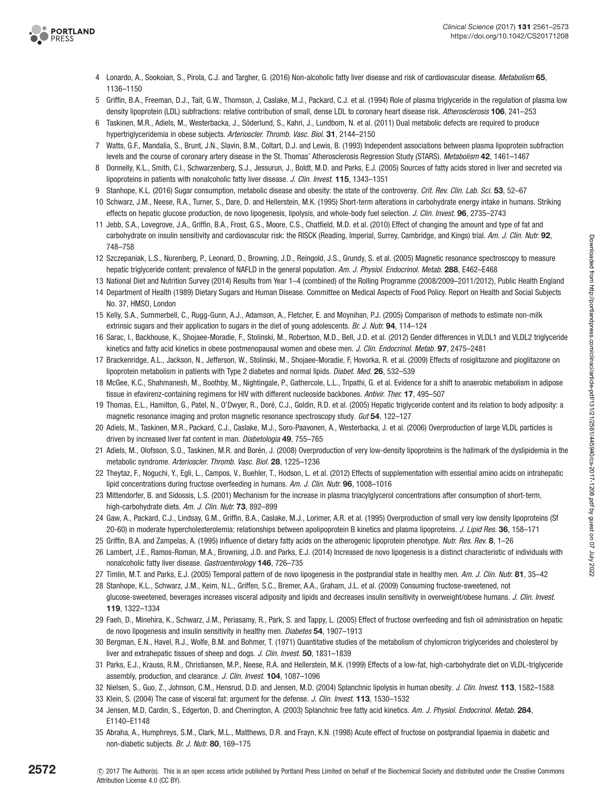

- 4 Lonardo, A., Sookoian, S., Pirola, C.J. and Targher, G. (2016) Non-alcoholic fatty liver disease and risk of cardiovascular disease. Metabolism **65**, 1136–1150
- <span id="page-11-0"></span>5 Griffin, B.A., Freeman, D.J., Tait, G.W., Thomson, J, Caslake, M.J., Packard, C.J. et al. (1994) Role of plasma triglyceride in the regulation of plasma low density lipoprotein (LDL) subfractions: relative contribution of small, dense LDL to coronary heart disease risk. Atherosclerosis **106**, 241–253
- <span id="page-11-1"></span>6 Taskinen, M.R., Adiels, M., Westerbacka, J., Soderlund, S., Kahri, J., Lundbom, N. et al. (2011) Dual metabolic defects are required to produce ¨ hypertriglyceridemia in obese subjects. Arterioscler. Thromb. Vasc. Biol. **31**, 2144–2150
- <span id="page-11-2"></span>7 Watts, G.F., Mandalia, S., Brunt, J.N., Slavin, B.M., Coltart, D.J. and Lewis, B. (1993) Independent associations between plasma lipoprotein subfraction levels and the course of coronary artery disease in the St. Thomas' Atherosclerosis Regression Study (STARS). Metabolism **42**, 1461–1467
- <span id="page-11-3"></span>8 Donnelly, K.L., Smith, C.I., Schwarzenberg, S.J., Jessurun, J., Boldt, M.D. and Parks, E.J. (2005) Sources of fatty acids stored in liver and secreted via lipoproteins in patients with nonalcoholic fatty liver disease. J. Clin. Invest. **115**, 1343–1351
- <span id="page-11-4"></span>9 Stanhope, K.L. (2016) Sugar consumption, metabolic disease and obesity: the state of the controversy. Crit. Rev. Clin. Lab. Sci. **53**, 52–67
- <span id="page-11-5"></span>10 Schwarz, J.M., Neese, R.A., Turner, S., Dare, D. and Hellerstein, M.K. (1995) Short-term alterations in carbohydrate energy intake in humans. Striking effects on hepatic glucose production, de novo lipogenesis, lipolysis, and whole-body fuel selection. J. Clin. Invest. **96**, 2735–2743
- <span id="page-11-6"></span>11 Jebb, S.A., Lovegrove, J.A., Griffin, B.A., Frost, G.S., Moore, C.S., Chatfield, M.D. et al. (2010) Effect of changing the amount and type of fat and carbohydrate on insulin sensitivity and cardiovascular risk: the RISCK (Reading, Imperial, Surrey, Cambridge, and Kings) trial. Am. J. Clin. Nutr. **92**, 748–758
- <span id="page-11-7"></span>12 Szczepaniak, L.S., Nurenberg, P., Leonard, D., Browning, J.D., Reingold, J.S., Grundy, S. et al. (2005) Magnetic resonance spectroscopy to measure hepatic triglyceride content: prevalence of NAFLD in the general population. Am. J. Physiol. Endocrinol. Metab. **288**, E462–E468
- 13 National Diet and Nutrition Survey (2014) Results from Year 1–4 (combined) of the Rolling Programme (2008/2009–2011/2012), Public Health England 14 Department of Health (1989) Dietary Sugars and Human Disease. Committee on Medical Aspects of Food Policy. Report on Health and Social Subjects
- No. 37, HMSO, London
- <span id="page-11-8"></span>15 Kelly, S.A., Summerbell, C., Rugg-Gunn, A.J., Adamson, A., Fletcher, E. and Moynihan, P.J. (2005) Comparison of methods to estimate non-milk extrinsic sugars and their application to sugars in the diet of young adolescents. Br. J. Nutr. **94**, 114–124
- <span id="page-11-9"></span>16 Sarac, I., Backhouse, K., Shojaee-Moradie, F., Stolinski, M., Robertson, M.D., Bell, J.D. et al. (2012) Gender differences in VLDL1 and VLDL2 triglyceride kinetics and fatty acid kinetics in obese postmenopausal women and obese men. J. Clin. Endocrinol. Metab. **97**, 2475–2481
- <span id="page-11-10"></span>17 Brackenridge, A.L., Jackson, N., Jefferson, W., Stolinski, M., Shojaee-Moradie, F, Hovorka, R. et al. (2009) Effects of rosiglitazone and pioglitazone on lipoprotein metabolism in patients with Type 2 diabetes and normal lipids. Diabet. Med. **26**, 532–539
- <span id="page-11-11"></span>18 McGee, K.C., Shahmanesh, M., Boothby, M., Nightingale, P., Gathercole, L.L., Tripathi, G. et al. Evidence for a shift to anaerobic metabolism in adipose tissue in efavirenz-containing regimens for HIV with different nucleoside backbones. Antivir. Ther. **17**, 495–507
- <span id="page-11-12"></span>19 Thomas, E.L., Hamilton, G., Patel, N., O'Dwyer, R., Dore, C.J., Goldin, R.D. et al. (2005) Hepatic triglyceride content and its relation to body adiposity: a ´ magnetic resonance imaging and proton magnetic resonance spectroscopy study. Gut **54**, 122–127
- <span id="page-11-13"></span>20 Adiels, M., Taskinen, M.R., Packard, C.J., Caslake, M.J., Soro-Paavonen, A., Westerbacka, J. et al. (2006) Overproduction of large VLDL particles is driven by increased liver fat content in man. Diabetologia **49**, 755–765
- <span id="page-11-14"></span>21 Adiels, M., Olofsson, S.O., Taskinen, M.R. and Boren, J. (2008) Overproduction of very low-density lipoproteins is the hallmark of the dyslipidemia in the ´ metabolic syndrome. Arterioscler. Thromb. Vasc. Biol. **28**, 1225–1236
- <span id="page-11-15"></span>22 Theytaz, F., Noguchi, Y., Egli, L., Campos, V., Buehler, T., Hodson, L. et al. (2012) Effects of supplementation with essential amino acids on intrahepatic lipid concentrations during fructose overfeeding in humans. Am. J. Clin. Nutr. **96**, 1008–1016
- <span id="page-11-16"></span>23 Mittendorfer, B. and Sidossis, L.S. (2001) Mechanism for the increase in plasma triacylglycerol concentrations after consumption of short-term, high-carbohydrate diets. Am. J. Clin. Nutr. **73**, 892–899
- <span id="page-11-17"></span>24 Gaw, A., Packard, C.J., Lindsay, G.M., Griffin, B.A., Caslake, M.J., Lorimer, A.R. et al. (1995) Overproduction of small very low density lipoproteins (Sf 20-60) in moderate hypercholesterolemia: relationships between apolipoprotein B kinetics and plasma lipoproteins. J. Lipid Res. **36**, 158–171
- <span id="page-11-18"></span>25 Griffin, B.A. and Zampelas, A. (1995) Influence of dietary fatty acids on the atherogenic lipoprotein phenotype. Nutr. Res. Rev. **8**, 1–26
- <span id="page-11-19"></span>26 Lambert, J.E., Ramos-Roman, M.A., Browning, J.D. and Parks, E.J. (2014) Increased de novo lipogenesis is a distinct characteristic of individuals with nonalcoholic fatty liver disease. Gastroenterology **146**, 726–735
- <span id="page-11-20"></span>27 Timlin, M.T. and Parks, E.J. (2005) Temporal pattern of de novo lipogenesis in the postprandial state in healthy men. Am. J. Clin. Nutr. **81**, 35–42
- <span id="page-11-21"></span>28 Stanhope, K.L., Schwarz, J.M., Keim, N.L., Griffen, S.C., Bremer, A.A., Graham, J.L. et al. (2009) Consuming fructose-sweetened, not glucose-sweetened, beverages increases visceral adiposity and lipids and decreases insulin sensitivity in overweight/obese humans. J. Clin. Invest. **119**, 1322–1334
- <span id="page-11-22"></span>29 Faeh, D., Minehira, K., Schwarz, J.M., Periasamy, R., Park, S. and Tappy, L. (2005) Effect of fructose overfeeding and fish oil administration on hepatic de novo lipogenesis and insulin sensitivity in healthy men. Diabetes **54**, 1907–1913
- <span id="page-11-23"></span>30 Bergman, E.N., Havel, R.J., Wolfe, B.M. and Bohmer, T. (1971) Quantitative studies of the metabolism of chylomicron triglycerides and cholesterol by liver and extrahepatic tissues of sheep and dogs. J. Clin. Invest. **50**, 1831–1839
- <span id="page-11-24"></span>31 Parks, E.J., Krauss, R.M., Christiansen, M.P., Neese, R.A. and Hellerstein, M.K. (1999) Effects of a low-fat, high-carbohydrate diet on VLDL-triglyceride assembly, production, and clearance. J. Clin. Invest. **104**, 1087–1096
- <span id="page-11-25"></span>32 Nielsen, S., Guo, Z., Johnson, C.M., Hensrud, D.D. and Jensen, M.D. (2004) Splanchnic lipolysis in human obesity. J. Clin. Invest. **113**, 1582–1588
- <span id="page-11-26"></span>33 Klein, S. (2004) The case of visceral fat: argument for the defense. J. Clin. Invest. **113**, 1530–1532
- <span id="page-11-27"></span>34 Jensen, M.D, Cardin, S., Edgerton, D. and Cherrington, A. (2003) Splanchnic free fatty acid kinetics. Am. J. Physiol. Endocrinol. Metab. **284**, E1140–E1148
- <span id="page-11-28"></span>35 Abraha, A., Humphreys, S.M., Clark, M.L., Matthews, D.R. and Frayn, K.N. (1998) Acute effect of fructose on postprandial lipaemia in diabetic and non-diabetic subjects. Br. J. Nutr. **80**, 169–175